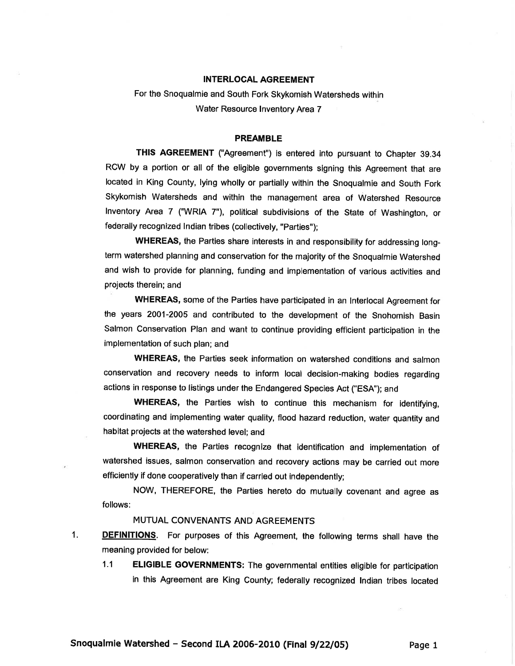## INTERLOGAL AGREEMENT

For the Snoqualmie and South Fork Skykomish Watersheds within Water Resource Inventory Area 7

## PREAMBLE

THIS AGREEMENT ("Agreement") is entered into pursuant to Chapter 39.34 RCW by a portion or all of the eligible governments signing this Agreement that are located in King County, lying wholly or partially within the Snoqualmie and South Fork Skykomish Watersheds and within the management area of Watershed Resource Inventory Area 7 ("WRIA 7"), political subdivisions of the State of Washington, or federally recognized Indian tribes (collectively, "Parties");

WHEREAS, the Parties share interests in and responsibility for addressing longterm watershed planning and conservation for the majority of the Snoqualmie Watershed and wish to provide for planning, funding and implementation of various activities and projects therein; and

WHEREAS, some of the Parties have participated in an lnterlocal Agreement for the years 2001-2005 and contributed to the development of the Snohomish Basin Salmon Conservation Plan and want to continue providing efficient participation in the implementation of such plan; and

WHEREAS, the Parties seek information on watershed conditions and salmon conservation and recovery needs to inform local decision-making bodies regarding actions in response to listings under the Endangered Species Act ("ESA"); and

WHEREAS, the Parties wish to continue this mechanism for identifying, coordinating and implementing water quality, flood hazard reduction, water quantity and habitat projects at the watershed level; and

WHEREAS, the Parties recognize that identification and implementation of watershed issues, salmon conservation and recovery actions may be carried out more efficiently if done cooperatively than if carried out independenfly;

NOW, THEREFORE, the Parties hereto do mutually covenant and agree as follows:

## MUTUAL CONVENANTS AND AGREEMENTS

- 1. DEFINITIONS. For purposes of this Agreement, the following terms shall have the meaning provided for below:
	- 1.1 **ELIGIBLE GOVERNMENTS:** The governmental entities eligible for participation in this Agreement are King County; federally recognized lndian tribes located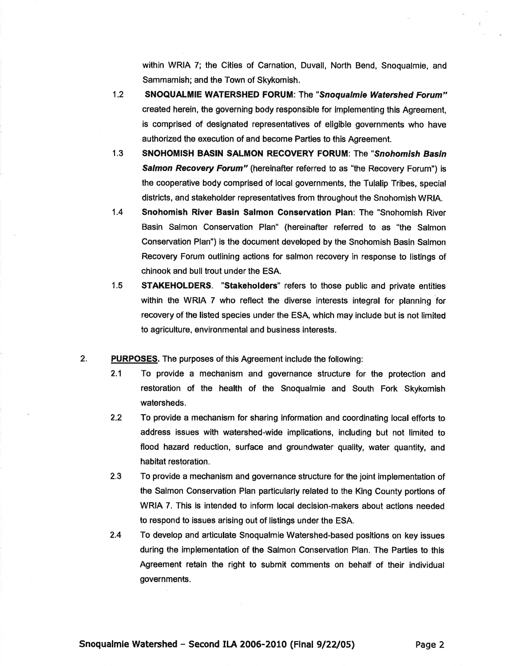within WRIA 7; the Cities of Carnation, Duvall, North Bend, Snoqualmie, and Sammamish; and the Town of Skykomish.

- SNOQUALMIE WATERSHED FORUM: The "Snoqualmie Watershed Forum" created herein, the governing body responsible for implementing this Agreement, is comprised of designated representatives of eligible governments who have authorized the execution of and become Parties to this Agreement. 12
- SNOHOMISH BASIN SALMON RECOVERY FORUM: The "Snohomish Basin Salmon Recovery Forum" (hereinafter referred to as "the Recovery Forum") is the cooperative body comprised of local governments, the Tulalip Tribes, special districts, and stakeholder representatives from throughout the Snohomish WRIA. 1.3
- Snohomish River Basin Salmon Gonservation Plan: The "Snohomish River Basin Salmon Conservation Plan" (hereinafter referred to as "the Salmon Conservation Plan") is the document developed by the Snohomish Basin Salmon Recovery Forum outlining actions for salmon recovery in response to listings of chinook and bull trout under the ESA. 1.4
- STAKEHOLDERS. "Stakeholders" refers to those public and private entities within the WRIA 7 who reflect the diverse interests integral for planning for recovery of the listed species under the ESA, which may include but is not limited to agriculture, environmental and business interests. 1.5
- PURPOSES. The purposes of this Agreement include the following: 2.
	- 2.1 To provide a mechanism and governance structure for the protection and restoration of the health of the Snoqualmie and South Fork Skykomish watersheds.
	- 2.2 To provide a mechanism for sharing information and coordinating local efforts to address issues with watershed-wide implications, including but not limited to flood hazard reduction, surface and groundwater quality, water quantity, and habitat restoration.
	- 2.3 To provide a mechanism and governance structure for the joint implementation of the Salmon Conservation Plan particularly related to the King County portions of WRIA 7. This is intended to inform local decision-makers about actions needed to respond to issues arising out of listings under the ESA.
	- 2.4 To develop and articulate Snoqualmie Watershed-based positions on key issues during the implementation of the Salmon Conservation Plan. The Parties to this Agreement retain the right to submit comments on behalf of their individual governments.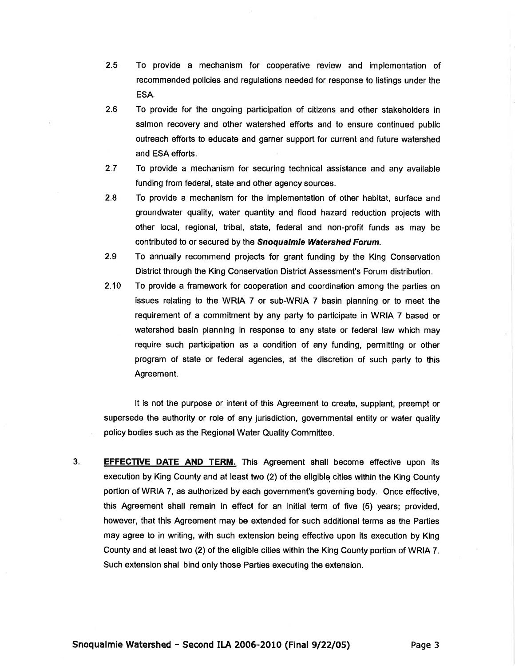- 2.5 To provide a mechanism for cooperative review and implementation of recommended policies and regulations needed for response to listings under the ESA.
- 2.6 To provide for the ongoing participation of citizens and other stakeholders in salmon recovery and other watershed efforts and to ensure continued public outreach efforts to educate and garner support for current and future watershed and ESA efforts.
- 2.7 To provide a mechanism for securing technical assistance and any available funding from federal, state and other agency sources.
- 2.8 To provide a mechanism for the implementation of other habitat, surface and groundwater quality, water quantity and flood hazard reduction projects with other local, regional, tribal, state, federal and non-profit funds as may be contributed to or secured by the **Snoqualmie Watershed Forum.**
- 2.9 To annually recommend projects for grant funding by the King Conservation District through the King Conservation District Assessment's Forum distribution.
- 210 To provide a framework for cooperation and coordination among the parties on issues relating to the WRIA 7 or sub-WRIA 7 basin planning or to meet the requirement of a commitment by any party to participate in WRIA 7 based or watershed basin planning in response to any state or federal law which may require such participation as a condition of any funding, permitting or other program of state or federal agencies, at the discretion of such party to this Agreement.

It is not the purpose or intent of this Agreement to create, supplant, preempt or supersede the authority or role of any jurisdiction, governmental entity or water quality policy bodies such as the Regional Water Quality Committee.

3. **EFFECTIVE DATE AND TERM.** This Agreement shall become effective upon its execution by King County and at least two (2) of the eligible cities within the King County portion of WRIA 7, as authorized by each government's governing body. Once effective, this Agreement shall remain in effect for an initial term of five (5) years; provided, however, that this Agreement may be extended for such additional terms as the Parties may agree to in writing, with such extension being effective upon its execution by King County and at least two (2) of the eligible cities within the King County portion of WRIA 7. Such extension shall bind only those Parties executing the extension.